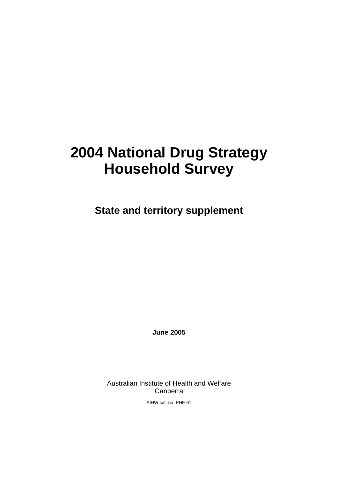# **2004 National Drug Strategy Household Survey**

**State and territory supplement** 

**June 2005** 

Australian Institute of Health and Welfare Canberra

AIHW cat. no. PHE 61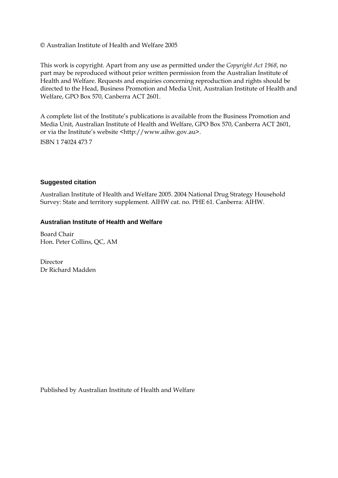#### © Australian Institute of Health and Welfare 2005

This work is copyright. Apart from any use as permitted under the *Copyright Act 1968*, no part may be reproduced without prior written permission from the Australian Institute of Health and Welfare. Requests and enquiries concerning reproduction and rights should be directed to the Head, Business Promotion and Media Unit, Australian Institute of Health and Welfare, GPO Box 570, Canberra ACT 2601.

A complete list of the Institute's publications is available from the Business Promotion and Media Unit, Australian Institute of Health and Welfare, GPO Box 570, Canberra ACT 2601, or via the Institute's website <http://www.aihw.gov.au>.

ISBN 1 74024 473 7

#### **Suggested citation**

Australian Institute of Health and Welfare 2005. 2004 National Drug Strategy Household Survey: State and territory supplement. AIHW cat. no. PHE 61. Canberra: AIHW.

#### **Australian Institute of Health and Welfare**

Board Chair Hon. Peter Collins, QC, AM

Director Dr Richard Madden

Published by Australian Institute of Health and Welfare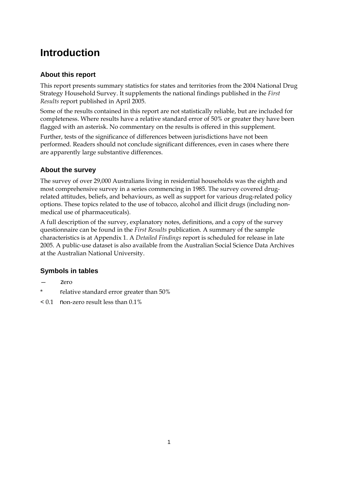# **Introduction**

#### **About this report**

This report presents summary statistics for states and territories from the 2004 National Drug Strategy Household Survey. It supplements the national findings published in the *First Results* report published in April 2005.

Some of the results contained in this report are not statistically reliable, but are included for completeness. Where results have a relative standard error of 50% or greater they have been flagged with an asterisk. No commentary on the results is offered in this supplement.

Further, tests of the significance of differences between jurisdictions have not been performed. Readers should not conclude significant differences, even in cases where there are apparently large substantive differences.

#### **About the survey**

The survey of over 29,000 Australians living in residential households was the eighth and most comprehensive survey in a series commencing in 1985. The survey covered drugrelated attitudes, beliefs, and behaviours, as well as support for various drug-related policy options. These topics related to the use of tobacco, alcohol and illicit drugs (including nonmedical use of pharmaceuticals).

A full description of the survey, explanatory notes, definitions, and a copy of the survey questionnaire can be found in the *First Results* publication. A summary of the sample characteristics is at Appendix 1. A *Detailed Findings* report is scheduled for release in late 2005. A public-use dataset is also available from the Australian Social Science Data Archives at the Australian National University.

### **Symbols in tables**

- zero
- \* relative standard error greater than 50%
- < 0.1 non-zero result less than 0.1%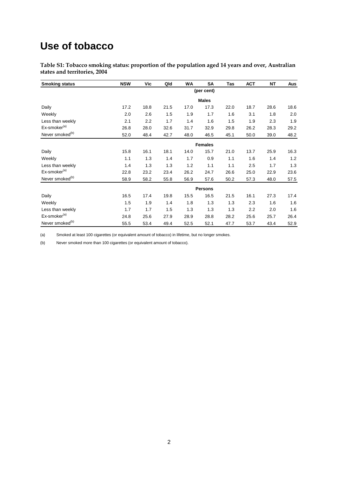## **Use of tobacco**

**Table S1: Tobacco smoking status: proportion of the population aged 14 years and over, Australian states and territories, 2004** 

| <b>Smoking status</b>       | <b>NSW</b> | Vic            | Qld  | <b>WA</b> | SA             | Tas  | <b>ACT</b> | <b>NT</b> | Aus  |  |  |  |
|-----------------------------|------------|----------------|------|-----------|----------------|------|------------|-----------|------|--|--|--|
|                             |            |                |      |           | (per cent)     |      |            |           |      |  |  |  |
|                             |            |                |      |           | <b>Males</b>   |      |            |           |      |  |  |  |
| Daily                       | 17.2       | 18.8           | 21.5 | 17.0      | 17.3           | 22.0 | 18.7       | 28.6      | 18.6 |  |  |  |
| Weekly                      | 2.0        | 2.6            | 1.5  | 1.9       | 1.7            | 1.6  | 3.1        | 1.8       | 2.0  |  |  |  |
| Less than weekly            | 2.1        | 2.2            | 1.7  | 1.4       | 1.6            | 1.5  | 1.9        | 2.3       | 1.9  |  |  |  |
| Ex-smoker <sup>(a)</sup>    | 26.8       | 28.0           | 32.6 | 31.7      | 32.9           | 29.8 | 26.2       | 28.3      | 29.2 |  |  |  |
| Never smoked <sup>(b)</sup> | 52.0       | 48.4           | 42.7 | 48.0      | 46.5           | 45.1 | 50.0       | 39.0      | 48.2 |  |  |  |
|                             |            | <b>Females</b> |      |           |                |      |            |           |      |  |  |  |
| Daily                       | 15.8       | 16.1           | 18.1 | 14.0      | 15.7           | 21.0 | 13.7       | 25.9      | 16.3 |  |  |  |
| Weekly                      | 1.1        | 1.3            | 1.4  | 1.7       | 0.9            | 1.1  | 1.6        | 1.4       | 1.2  |  |  |  |
| Less than weekly            | 1.4        | 1.3            | 1.3  | 1.2       | 1.1            | 1.1  | 2.5        | 1.7       | 1.3  |  |  |  |
| Ex-smoker <sup>(a)</sup>    | 22.8       | 23.2           | 23.4 | 26.2      | 24.7           | 26.6 | 25.0       | 22.9      | 23.6 |  |  |  |
| Never smoked <sup>(b)</sup> | 58.9       | 58.2           | 55.8 | 56.9      | 57.6           | 50.2 | 57.3       | 48.0      | 57.5 |  |  |  |
|                             |            |                |      |           | <b>Persons</b> |      |            |           |      |  |  |  |
| Daily                       | 16.5       | 17.4           | 19.8 | 15.5      | 16.5           | 21.5 | 16.1       | 27.3      | 17.4 |  |  |  |
| Weekly                      | 1.5        | 1.9            | 1.4  | 1.8       | 1.3            | 1.3  | 2.3        | 1.6       | 1.6  |  |  |  |
| Less than weekly            | 1.7        | 1.7            | 1.5  | 1.3       | 1.3            | 1.3  | 2.2        | 2.0       | 1.6  |  |  |  |
| Ex-smoker <sup>(a)</sup>    | 24.8       | 25.6           | 27.9 | 28.9      | 28.8           | 28.2 | 25.6       | 25.7      | 26.4 |  |  |  |
| Never smoked <sup>(b)</sup> | 55.5       | 53.4           | 49.4 | 52.5      | 52.1           | 47.7 | 53.7       | 43.4      | 52.9 |  |  |  |

(a) Smoked at least 100 cigarettes (or equivalent amount of tobacco) in lifetime, but no longer smokes.

(b) Never smoked more than 100 cigarettes (or equivalent amount of tobacco).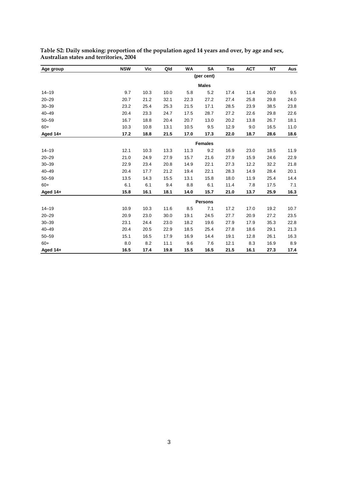| Age group  | <b>NSW</b> | Vic  | Qld  | WA   | <b>SA</b>      | Tas  | <b>ACT</b> | <b>NT</b> | Aus  |
|------------|------------|------|------|------|----------------|------|------------|-----------|------|
|            |            |      |      |      | (per cent)     |      |            |           |      |
|            |            |      |      |      | <b>Males</b>   |      |            |           |      |
| $14 - 19$  | 9.7        | 10.3 | 10.0 | 5.8  | 5.2            | 17.4 | 11.4       | 20.0      | 9.5  |
| $20 - 29$  | 20.7       | 21.2 | 32.1 | 22.3 | 27.2           | 27.4 | 25.8       | 29.8      | 24.0 |
| $30 - 39$  | 23.2       | 25.4 | 25.3 | 21.5 | 17.1           | 28.5 | 23.9       | 38.5      | 23.8 |
| $40 - 49$  | 20.4       | 23.3 | 24.7 | 17.5 | 28.7           | 27.2 | 22.6       | 29.8      | 22.6 |
| $50 - 59$  | 16.7       | 18.8 | 20.4 | 20.7 | 13.0           | 20.2 | 13.8       | 26.7      | 18.1 |
| $60+$      | 10.3       | 10.8 | 13.1 | 10.5 | 9.5            | 12.9 | 9.0        | 16.5      | 11.0 |
| Aged $14+$ | 17.2       | 18.8 | 21.5 | 17.0 | 17.3           | 22.0 | 18.7       | 28.6      | 18.6 |
|            |            |      |      |      | <b>Females</b> |      |            |           |      |
| $14 - 19$  | 12.1       | 10.3 | 13.3 | 11.3 | 9.2            | 16.9 | 23.0       | 18.5      | 11.9 |
| $20 - 29$  | 21.0       | 24.9 | 27.9 | 15.7 | 21.6           | 27.9 | 15.9       | 24.6      | 22.9 |
| $30 - 39$  | 22.9       | 23.4 | 20.8 | 14.9 | 22.1           | 27.3 | 12.2       | 32.2      | 21.8 |
| $40 - 49$  | 20.4       | 17.7 | 21.2 | 19.4 | 22.1           | 28.3 | 14.9       | 28.4      | 20.1 |
| $50 - 59$  | 13.5       | 14.3 | 15.5 | 13.1 | 15.8           | 18.0 | 11.9       | 25.4      | 14.4 |
| $60+$      | 6.1        | 6.1  | 9.4  | 8.8  | 6.1            | 11.4 | 7.8        | 17.5      | 7.1  |
| Aged 14+   | 15.8       | 16.1 | 18.1 | 14.0 | 15.7           | 21.0 | 13.7       | 25.9      | 16.3 |
|            |            |      |      |      | <b>Persons</b> |      |            |           |      |
| $14 - 19$  | 10.9       | 10.3 | 11.6 | 8.5  | 7.1            | 17.2 | 17.0       | 19.2      | 10.7 |
| $20 - 29$  | 20.9       | 23.0 | 30.0 | 19.1 | 24.5           | 27.7 | 20.9       | 27.2      | 23.5 |
| $30 - 39$  | 23.1       | 24.4 | 23.0 | 18.2 | 19.6           | 27.9 | 17.9       | 35.3      | 22.8 |
| $40 - 49$  | 20.4       | 20.5 | 22.9 | 18.5 | 25.4           | 27.8 | 18.6       | 29.1      | 21.3 |
| $50 - 59$  | 15.1       | 16.5 | 17.9 | 16.9 | 14.4           | 19.1 | 12.8       | 26.1      | 16.3 |
| $60+$      | 8.0        | 8.2  | 11.1 | 9.6  | 7.6            | 12.1 | 8.3        | 16.9      | 8.9  |
| Aged $14+$ | 16.5       | 17.4 | 19.8 | 15.5 | 16.5           | 21.5 | 16.1       | 27.3      | 17.4 |

**Table S2: Daily smoking: proportion of the population aged 14 years and over, by age and sex, Australian states and territories, 2004**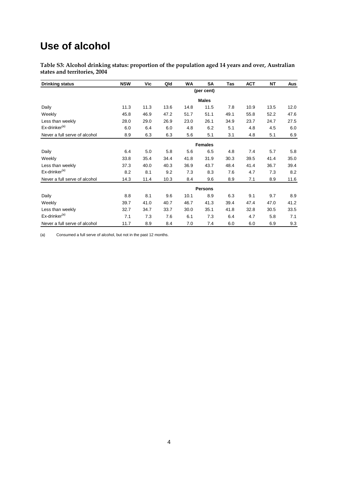## **Use of alcohol**

**Table S3: Alcohol drinking status: proportion of the population aged 14 years and over, Australian states and territories, 2004** 

| <b>Drinking status</b>        | <b>NSW</b> | Vic  | Qld  | <b>WA</b> | SΑ             | Tas  | <b>ACT</b> | NT   | Aus  |
|-------------------------------|------------|------|------|-----------|----------------|------|------------|------|------|
|                               |            |      |      |           | (per cent)     |      |            |      |      |
|                               |            |      |      |           | <b>Males</b>   |      |            |      |      |
| Daily                         | 11.3       | 11.3 | 13.6 | 14.8      | 11.5           | 7.8  | 10.9       | 13.5 | 12.0 |
| Weekly                        | 45.8       | 46.9 | 47.2 | 51.7      | 51.1           | 49.1 | 55.8       | 52.2 | 47.6 |
| Less than weekly              | 28.0       | 29.0 | 26.9 | 23.0      | 26.1           | 34.9 | 23.7       | 24.7 | 27.5 |
| Ex-drinker <sup>(a)</sup>     | 6.0        | 6.4  | 6.0  | 4.8       | 6.2            | 5.1  | 4.8        | 4.5  | 6.0  |
| Never a full serve of alcohol | 8.9        | 6.3  | 6.3  | 5.6       | 5.1            | 3.1  | 4.8        | 5.1  | 6.9  |
|                               |            |      |      |           | <b>Females</b> |      |            |      |      |
| Daily                         | 6.4        | 5.0  | 5.8  | 5.6       | 6.5            | 4.8  | 7.4        | 5.7  | 5.8  |
| Weekly                        | 33.8       | 35.4 | 34.4 | 41.8      | 31.9           | 30.3 | 39.5       | 41.4 | 35.0 |
| Less than weekly              | 37.3       | 40.0 | 40.3 | 36.9      | 43.7           | 48.4 | 41.4       | 36.7 | 39.4 |
| Ex-drinker <sup>(a)</sup>     | 8.2        | 8.1  | 9.2  | 7.3       | 8.3            | 7.6  | 4.7        | 7.3  | 8.2  |
| Never a full serve of alcohol | 14.3       | 11.4 | 10.3 | 8.4       | 9.6            | 8.9  | 7.1        | 8.9  | 11.6 |
|                               |            |      |      |           | <b>Persons</b> |      |            |      |      |
| Daily                         | 8.8        | 8.1  | 9.6  | 10.1      | 8.9            | 6.3  | 9.1        | 9.7  | 8.9  |
| Weekly                        | 39.7       | 41.0 | 40.7 | 46.7      | 41.3           | 39.4 | 47.4       | 47.0 | 41.2 |
| Less than weekly              | 32.7       | 34.7 | 33.7 | 30.0      | 35.1           | 41.8 | 32.8       | 30.5 | 33.5 |
| Ex-drinker <sup>(a)</sup>     | 7.1        | 7.3  | 7.6  | 6.1       | 7.3            | 6.4  | 4.7        | 5.8  | 7.1  |
| Never a full serve of alcohol | 11.7       | 8.9  | 8.4  | 7.0       | 7.4            | 6.0  | 6.0        | 6.9  | 9.3  |

(a) Consumed a full serve of alcohol, but not in the past 12 months.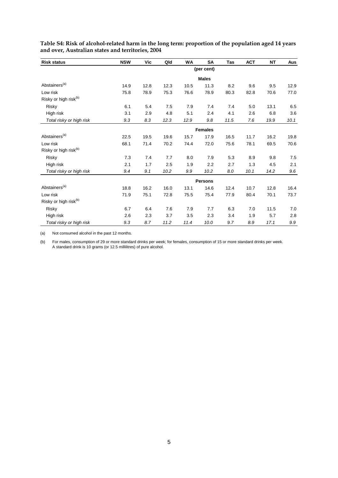| <b>Risk status</b>                | <b>NSW</b> | Vic  | Qld  | <b>WA</b> | SA             | Tas  | <b>ACT</b> | ΝT   | Aus  |
|-----------------------------------|------------|------|------|-----------|----------------|------|------------|------|------|
|                                   |            |      |      |           | (per cent)     |      |            |      |      |
|                                   |            |      |      |           | <b>Males</b>   |      |            |      |      |
| Abstainers <sup>(a)</sup>         | 14.9       | 12.8 | 12.3 | 10.5      | 11.3           | 8.2  | 9.6        | 9.5  | 12.9 |
| Low risk                          | 75.8       | 78.9 | 75.3 | 76.6      | 78.9           | 80.3 | 82.8       | 70.6 | 77.0 |
| Risky or high risk <sup>(b)</sup> |            |      |      |           |                |      |            |      |      |
| Risky                             | 6.1        | 5.4  | 7.5  | 7.9       | 7.4            | 7.4  | 5.0        | 13.1 | 6.5  |
| High risk                         | 3.1        | 2.9  | 4.8  | 5.1       | 2.4            | 4.1  | 2.6        | 6.8  | 3.6  |
| Total risky or high risk          | 9.3        | 8.3  | 12.3 | 12.9      | 9.8            | 11.5 | 7.6        | 19.9 | 10.1 |
|                                   |            |      |      |           | <b>Females</b> |      |            |      |      |
| Abstainers <sup>(a)</sup>         | 22.5       | 19.5 | 19.6 | 15.7      | 17.9           | 16.5 | 11.7       | 16.2 | 19.8 |
| Low risk                          | 68.1       | 71.4 | 70.2 | 74.4      | 72.0           | 75.6 | 78.1       | 69.5 | 70.6 |
| Risky or high risk <sup>(b)</sup> |            |      |      |           |                |      |            |      |      |
| <b>Risky</b>                      | 7.3        | 7.4  | 7.7  | 8.0       | 7.9            | 5.3  | 8.9        | 9.8  | 7.5  |
| High risk                         | 2.1        | 1.7  | 2.5  | 1.9       | 2.2            | 2.7  | 1.3        | 4.5  | 2.1  |
| Total risky or high risk          | 9.4        | 9.1  | 10.2 | 9.9       | 10.2           | 8.0  | 10.1       | 14.2 | 9.6  |
|                                   |            |      |      |           | <b>Persons</b> |      |            |      |      |
| Abstainers <sup>(a)</sup>         | 18.8       | 16.2 | 16.0 | 13.1      | 14.6           | 12.4 | 10.7       | 12.8 | 16.4 |
| Low risk                          | 71.9       | 75.1 | 72.8 | 75.5      | 75.4           | 77.9 | 80.4       | 70.1 | 73.7 |
| Risky or high risk <sup>(b)</sup> |            |      |      |           |                |      |            |      |      |
| Risky                             | 6.7        | 6.4  | 7.6  | 7.9       | 7.7            | 6.3  | 7.0        | 11.5 | 7.0  |
| High risk                         | 2.6        | 2.3  | 3.7  | 3.5       | 2.3            | 3.4  | 1.9        | 5.7  | 2.8  |
| Total risky or high risk          | 9.3        | 8.7  | 11.2 | 11.4      | 10.0           | 9.7  | 8.9        | 17.1 | 9.9  |

**Table S4: Risk of alcohol-related harm in the long term: proportion of the population aged 14 years and over, Australian states and territories, 2004** 

(a) Not consumed alcohol in the past 12 months.

(b) For males, consumption of 29 or more standard drinks per week; for females, consumption of 15 or more standard drinks per week. A standard drink is 10 grams (or 12.5 millilitres) of pure alcohol.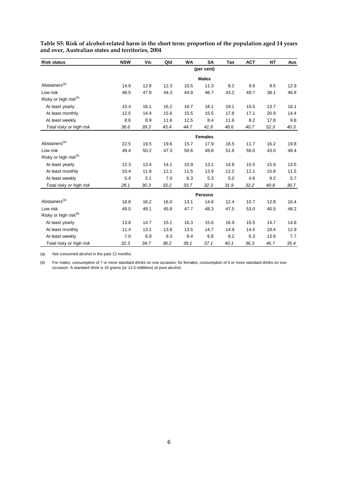| <b>Risk status</b>                | <b>NSW</b> | Vic  | Qld  | WA   | <b>SA</b>      | Tas  | <b>ACT</b> | NΤ   | Aus  |
|-----------------------------------|------------|------|------|------|----------------|------|------------|------|------|
|                                   |            |      |      |      | (per cent)     |      |            |      |      |
|                                   |            |      |      |      | <b>Males</b>   |      |            |      |      |
| Abstainers <sup>(a)</sup>         | 14.9       | 12.8 | 12.3 | 10.5 | 11.3           | 8.2  | 9.6        | 9.5  | 12.9 |
| Low risk                          | 48.5       | 47.9 | 44.3 | 44.8 | 46.7           | 43.2 | 49.7       | 38.1 | 46.8 |
| Risky or high risk <sup>(b)</sup> |            |      |      |      |                |      |            |      |      |
| At least yearly                   | 15.4       | 16.1 | 16.2 | 16.7 | 18.1           | 19.1 | 15.5       | 13.7 | 16.1 |
| At least monthly                  | 12.5       | 14.4 | 15.6 | 15.5 | 15.5           | 17.8 | 17.1       | 20.9 | 14.4 |
| At least weekly                   | 8.6        | 8.9  | 11.6 | 12.5 | 8.4            | 11.6 | 8.2        | 17.8 | 9.8  |
| Total risky or high risk          | 36.6       | 39.3 | 43.4 | 44.7 | 41.9           | 48.6 | 40.7       | 52.3 | 40.3 |
|                                   |            |      |      |      | <b>Females</b> |      |            |      |      |
| Abstainers <sup>(a)</sup>         | 22.5       | 19.5 | 19.6 | 15.7 | 17.9           | 16.5 | 11.7       | 16.2 | 19.8 |
| Low risk                          | 49.4       | 50.2 | 47.3 | 50.6 | 49.8           | 51.6 | 56.0       | 43.0 | 49.4 |
| Risky or high risk <sup>(b)</sup> |            |      |      |      |                |      |            |      |      |
| At least yearly                   | 12.3       | 13.4 | 14.1 | 15.9 | 13.1           | 14.8 | 15.5       | 15.9 | 13.5 |
| At least monthly                  | 10.4       | 11.8 | 12.1 | 11.5 | 13.9           | 12.2 | 12.1       | 15.8 | 11.5 |
| At least weekly                   | 5.4        | 5.1  | 7.0  | 6.3  | 5.3            | 5.0  | 4.6        | 9.2  | 5.7  |
| Total risky or high risk          | 28.1       | 30.3 | 33.2 | 33.7 | 32.3           | 31.9 | 32.2       | 40.8 | 30.7 |
|                                   |            |      |      |      | <b>Persons</b> |      |            |      |      |
| Abstainers <sup>(a)</sup>         | 18.8       | 16.2 | 16.0 | 13.1 | 14.6           | 12.4 | 10.7       | 12.8 | 16.4 |
| Low risk                          | 49.0       | 49.1 | 45.8 | 47.7 | 48.3           | 47.5 | 53.0       | 40.5 | 48.2 |
| Risky or high risk <sup>(b)</sup> |            |      |      |      |                |      |            |      |      |
| At least yearly                   | 13.8       | 14.7 | 15.1 | 16.3 | 15.6           | 16.9 | 15.5       | 14.7 | 14.8 |
| At least monthly                  | 11.4       | 13.1 | 13.8 | 13.5 | 14.7           | 14.9 | 14.5       | 18.4 | 12.9 |
| At least weekly                   | 7.0        | 6.9  | 9.3  | 9.4  | 6.8            | 8.2  | 6.3        | 13.6 | 7.7  |
| Total risky or high risk          | 32.3       | 34.7 | 38.2 | 39.1 | 37.1           | 40.1 | 36.3       | 46.7 | 35.4 |

**Table S5: Risk of alcohol-related harm in the short term: proportion of the population aged 14 years and over, Australian states and territories, 2004** 

(a) Not consumed alcohol in the past 12 months.

(b) For males, consumption of 7 or more standard drinks on one occasion; for females, consumption of 5 or more standard drinks on one occasion. A standard drink is 10 grams (or 12.5 millilitres) of pure alcohol.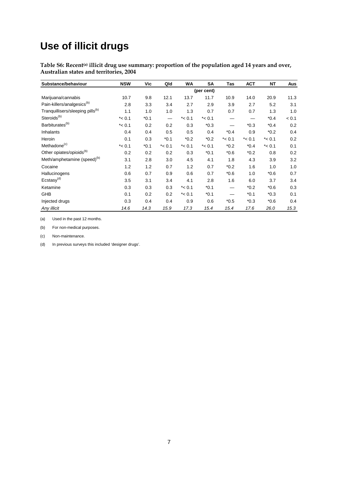# **Use of illicit drugs**

**Table S6: Recent(a) illicit drug use summary: proportion of the population aged 14 years and over, Australian states and territories, 2004** 

| Substance/behaviour                          | <b>NSW</b> | Vic    | Qld       | <b>WA</b> | SΑ         | Tas       | <b>ACT</b> | NΤ        | Aus   |
|----------------------------------------------|------------|--------|-----------|-----------|------------|-----------|------------|-----------|-------|
|                                              |            |        |           |           | (per cent) |           |            |           |       |
| Marijuana/cannabis                           | 10.7       | 9.8    | 12.1      | 13.7      | 11.7       | 10.9      | 14.0       | 20.9      | 11.3  |
| Pain-killers/analgesics <sup>(b)</sup>       | 2.8        | 3.3    | 3.4       | 2.7       | 2.9        | 3.9       | 2.7        | 5.2       | 3.1   |
| Tranquillisers/sleeping pills <sup>(b)</sup> | 1.1        | 1.0    | 1.0       | 1.3       | 0.7        | 0.7       | 0.7        | 1.3       | 1.0   |
| Steroids <sup>(b)</sup>                      | $* < 0.1$  | $*0.1$ |           | $* < 0.1$ | $*$ < 0.1  | —         |            | $*0.4$    | < 0.1 |
| Barbiturates <sup>(b)</sup>                  | $*$ < 0.1  | 0.2    | 0.2       | 0.3       | $*0.3$     |           | $*0.3$     | $*0.4$    | 0.2   |
| Inhalants                                    | 0.4        | 0.4    | 0.5       | 0.5       | 0.4        | $*0.4$    | 0.9        | $*0.2$    | 0.4   |
| Heroin                                       | 0.1        | 0.3    | $*0.1$    | $*0.2$    | $*0.2$     | $*$ < 0.1 | $*$ < 0.1  | $*$ < 0.1 | 0.2   |
| Methadone <sup>(c)</sup>                     | $* < 0.1$  | $*0.1$ | $*$ < 0.1 | $*$ < 0.1 | $* < 0.1$  | $*0.2$    | $*0.4$     | $*$ < 0.1 | 0.1   |
| Other opiates/opioids <sup>(b)</sup>         | 0.2        | 0.2    | 0.2       | 0.3       | $*0.1$     | $*0.6$    | $*0.2$     | 0.8       | 0.2   |
| Meth/amphetamine (speed) <sup>(b)</sup>      | 3.1        | 2.8    | 3.0       | 4.5       | 4.1        | 1.8       | 4.3        | 3.9       | 3.2   |
| Cocaine                                      | 1.2        | 1.2    | 0.7       | 1.2       | 0.7        | $*0.2$    | 1.6        | 1.0       | 1.0   |
| Hallucinogens                                | 0.6        | 0.7    | 0.9       | 0.6       | 0.7        | $*0.6$    | 1.0        | $*0.6$    | 0.7   |
| Ecstasy <sup>(d)</sup>                       | 3.5        | 3.1    | 3.4       | 4.1       | 2.8        | 1.6       | 6.0        | 3.7       | 3.4   |
| Ketamine                                     | 0.3        | 0.3    | 0.3       | $*$ < 0.1 | $*0.1$     |           | $*0.2$     | $*0.6$    | 0.3   |
| GHB                                          | 0.1        | 0.2    | 0.2       | $*$ < 0.1 | $*0.1$     |           | $*0.1$     | $*0.3$    | 0.1   |
| Injected drugs                               | 0.3        | 0.4    | 0.4       | 0.9       | 0.6        | $*0.5$    | $*0.3$     | $*0.6$    | 0.4   |
| Any illicit                                  | 14.6       | 14.3   | 15.9      | 17.3      | 15.4       | 15.4      | 17.6       | 26.0      | 15.3  |

(a) Used in the past 12 months.

(b) For non-medical purposes.

(c) Non-maintenance.

(d) In previous surveys this included 'designer drugs'.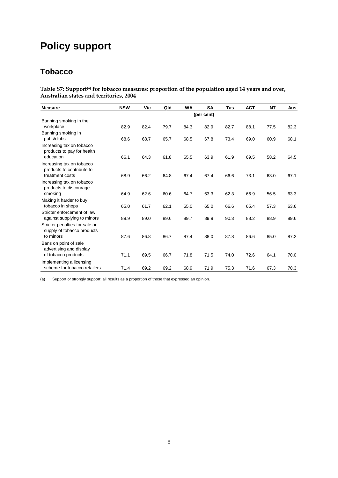# **Policy support**

### **Tobacco**

Table S7: Support<sup>(a)</sup> for tobacco measures: proportion of the population aged 14 years and over, **Australian states and territories, 2004** 

| <b>Measure</b>                                                       | <b>NSW</b> | Vic  | Qld  | <b>WA</b> | SΑ         | <b>Tas</b> | <b>ACT</b> | <b>NT</b> | <b>Aus</b> |
|----------------------------------------------------------------------|------------|------|------|-----------|------------|------------|------------|-----------|------------|
|                                                                      |            |      |      |           | (per cent) |            |            |           |            |
| Banning smoking in the<br>workplace                                  | 82.9       | 82.4 | 79.7 | 84.3      | 82.9       | 82.7       | 88.1       | 77.5      | 82.3       |
| Banning smoking in<br>pubs/clubs                                     | 68.6       | 68.7 | 65.7 | 68.5      | 67.8       | 73.4       | 69.0       | 60.9      | 68.1       |
| Increasing tax on tobacco<br>products to pay for health<br>education | 66.1       | 64.3 | 61.8 |           |            | 61.9       |            |           | 64.5       |
| Increasing tax on tobacco<br>products to contribute to               |            |      |      | 65.5      | 63.9       |            | 69.5       | 58.2      |            |
| treatment costs                                                      | 68.9       | 66.2 | 64.8 | 67.4      | 67.4       | 66.6       | 73.1       | 63.0      | 67.1       |
| Increasing tax on tobacco<br>products to discourage                  |            |      |      |           |            |            |            |           |            |
| smoking                                                              | 64.9       | 62.6 | 60.6 | 64.7      | 63.3       | 62.3       | 66.9       | 56.5      | 63.3       |
| Making it harder to buy<br>tobacco in shops                          | 65.0       | 61.7 | 62.1 | 65.0      | 65.0       | 66.6       | 65.4       | 57.3      | 63.6       |
| Stricter enforcement of law<br>against supplying to minors           | 89.9       | 89.0 | 89.6 | 89.7      | 89.9       | 90.3       | 88.2       | 88.9      | 89.6       |
| Stricter penalties for sale or<br>supply of tobacco products         |            |      |      |           |            |            |            |           |            |
| to minors                                                            | 87.6       | 86.8 | 86.7 | 87.4      | 88.0       | 87.8       | 86.6       | 85.0      | 87.2       |
| Bans on point of sale<br>advertising and display                     |            |      |      |           |            |            |            |           |            |
| of tobacco products                                                  | 71.1       | 69.5 | 66.7 | 71.8      | 71.5       | 74.0       | 72.6       | 64.1      | 70.0       |
| Implementing a licensing<br>scheme for tobacco retailers             | 71.4       | 69.2 | 69.2 | 68.9      | 71.9       | 75.3       | 71.6       | 67.3      | 70.3       |

(a) Support or strongly support; all results as a proportion of those that expressed an opinion.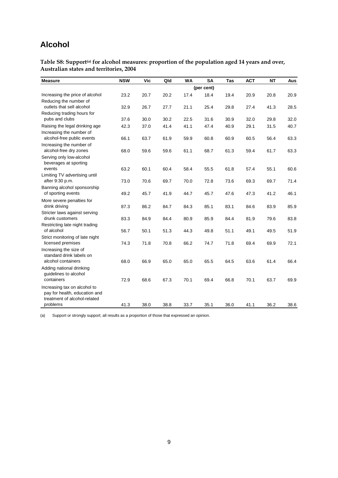### **Alcohol**

Table S8: Support<sup>(a)</sup> for alcohol measures: proportion of the population aged 14 years and over, **Australian states and territories, 2004** 

| <b>Measure</b>                                                                                | <b>NSW</b> | Vic  | Qld  | <b>WA</b> | <b>SA</b>  | Tas  | <b>ACT</b> | <b>NT</b> | Aus  |
|-----------------------------------------------------------------------------------------------|------------|------|------|-----------|------------|------|------------|-----------|------|
|                                                                                               |            |      |      |           | (per cent) |      |            |           |      |
| Increasing the price of alcohol                                                               | 23.2       | 20.7 | 20.2 | 17.4      | 18.4       | 19.4 | 20.9       | 20.8      | 20.9 |
| Reducing the number of<br>outlets that sell alcohol                                           | 32.9       | 26.7 | 27.7 | 21.1      | 25.4       | 29.8 | 27.4       | 41.3      | 28.5 |
| Reducing trading hours for                                                                    |            |      |      |           |            |      |            |           |      |
| pubs and clubs                                                                                | 37.6       | 30.0 | 30.2 | 22.5      | 31.6       | 30.9 | 32.0       | 29.8      | 32.0 |
| Raising the legal drinking age<br>Increasing the number of                                    | 42.3       | 37.0 | 41.4 | 41.1      | 47.4       | 40.9 | 29.1       | 31.5      | 40.7 |
| alcohol-free public events                                                                    | 66.1       | 63.7 | 61.9 | 59.9      | 60.8       | 60.9 | 60.5       | 56.4      | 63.3 |
| Increasing the number of<br>alcohol-free dry zones                                            | 68.0       | 59.6 | 59.6 | 61.1      | 68.7       | 61.3 | 59.4       | 61.7      | 63.3 |
| Serving only low-alcohol<br>beverages at sporting                                             |            |      |      |           |            |      |            |           |      |
| events                                                                                        | 63.2       | 60.1 | 60.4 | 58.4      | 55.5       | 61.8 | 57.4       | 55.1      | 60.6 |
| Limiting TV advertising until<br>after 9:30 p.m.                                              | 73.0       | 70.6 | 69.7 | 70.0      | 72.8       | 73.6 | 69.3       | 69.7      | 71.4 |
| Banning alcohol sponsorship                                                                   |            |      |      |           |            |      |            |           |      |
| of sporting events                                                                            | 49.2       | 45.7 | 41.9 | 44.7      | 45.7       | 47.6 | 47.3       | 41.2      | 46.1 |
| More severe penalties for                                                                     |            |      |      |           |            |      |            |           |      |
| drink driving                                                                                 | 87.3       | 86.2 | 84.7 | 84.3      | 85.1       | 83.1 | 84.6       | 83.9      | 85.9 |
| Stricter laws against serving<br>drunk customers                                              | 83.3       | 84.9 | 84.4 | 80.9      | 85.9       | 84.4 | 81.9       | 79.6      | 83.8 |
| Restricting late night trading                                                                |            |      |      |           |            |      |            |           |      |
| of alcohol                                                                                    | 56.7       | 50.1 | 51.3 | 44.3      | 49.8       | 51.1 | 49.1       | 49.5      | 51.9 |
| Strict monitoring of late night<br>licensed premises                                          | 74.3       | 71.8 | 70.8 | 66.2      | 74.7       | 71.8 | 69.4       | 69.9      | 72.1 |
| Increasing the size of<br>standard drink labels on                                            |            |      |      |           |            |      |            |           |      |
| alcohol containers                                                                            | 68.0       | 66.9 | 65.0 | 65.0      | 65.5       | 64.5 | 63.6       | 61.4      | 66.4 |
| Adding national drinking<br>guidelines to alcohol                                             |            |      |      |           |            |      |            |           |      |
| containers                                                                                    | 72.9       | 68.6 | 67.3 | 70.1      | 69.4       | 66.8 | 70.1       | 63.7      | 69.9 |
| Increasing tax on alcohol to<br>pay for health, education and<br>treatment of alcohol-related |            |      |      |           |            |      |            |           |      |
| problems                                                                                      | 41.3       | 38.0 | 38.8 | 33.7      | 35.1       | 36.0 | 41.1       | 36.2      | 38.6 |

(a) Support or strongly support; all results as a proportion of those that expressed an opinion.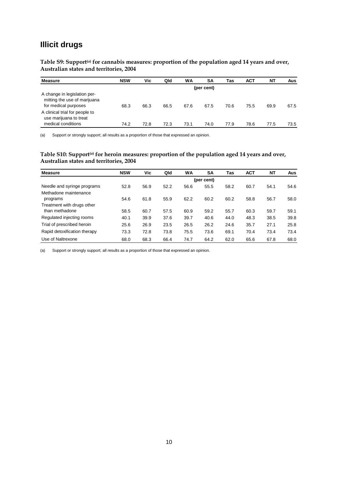### **Illicit drugs**

Table S9: Support<sup>(a)</sup> for cannabis measures: proportion of the population aged 14 years and over, **Australian states and territories, 2004** 

| <b>Measure</b>                                                                       | <b>NSW</b> | Vic  | Qld  | <b>WA</b> | SΑ         | Tas  | <b>ACT</b> | <b>NT</b> | Aus  |
|--------------------------------------------------------------------------------------|------------|------|------|-----------|------------|------|------------|-----------|------|
|                                                                                      |            |      |      |           | (per cent) |      |            |           |      |
| A change in legislation per-<br>mitting the use of marijuana<br>for medical purposes | 68.3       | 66.3 | 66.5 | 67.6      | 67.5       | 70.6 | 75.5       | 69.9      | 67.5 |
| A clinical trial for people to<br>use marijuana to treat<br>medical conditions       | 74.2       | 72.8 | 72.3 | 73.1      | 74.0       | 77.9 | 78.6       | 77.5      | 73.5 |

(a) Support or strongly support; all results as a proportion of those that expressed an opinion.

#### Table S10: Support<sup>(a)</sup> for heroin measures: proportion of the population aged 14 years and over, **Australian states and territories, 2004**

| <b>Measure</b>               | <b>NSW</b> | Vic  | Qld  | WA   | SΑ         | Tas  | <b>ACT</b> | <b>NT</b> | Aus  |
|------------------------------|------------|------|------|------|------------|------|------------|-----------|------|
|                              |            |      |      |      | (per cent) |      |            |           |      |
| Needle and syringe programs  | 52.8       | 56.9 | 52.2 | 56.6 | 55.5       | 58.2 | 60.7       | 54.1      | 54.6 |
| Methadone maintenance        |            |      |      |      |            |      |            |           |      |
| programs                     | 54.6       | 61.8 | 55.9 | 62.2 | 60.2       | 60.2 | 58.8       | 56.7      | 58.0 |
| Treatment with drugs other   |            |      |      |      |            |      |            |           |      |
| than methadone               | 58.5       | 60.7 | 57.5 | 60.9 | 59.2       | 55.7 | 60.3       | 59.7      | 59.1 |
| Regulated injecting rooms    | 40.1       | 39.9 | 37.6 | 39.7 | 40.6       | 44.0 | 48.3       | 38.5      | 39.8 |
| Trial of prescribed heroin   | 25.6       | 26.9 | 23.5 | 26.5 | 26.2       | 24.6 | 35.7       | 27.1      | 25.8 |
| Rapid detoxification therapy | 73.3       | 72.8 | 73.8 | 75.5 | 73.6       | 69.1 | 70.4       | 73.4      | 73.4 |
| Use of Naltrexone            | 68.0       | 68.3 | 66.4 | 74.7 | 64.2       | 62.0 | 65.6       | 67.8      | 68.0 |

(a) Support or strongly support; all results as a proportion of those that expressed an opinion.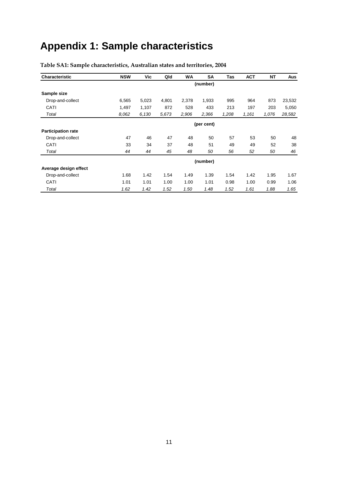# **Appendix 1: Sample characteristics**

| <b>Characteristic</b>     | <b>NSW</b> | Vic   | Qld   | <b>WA</b> | SA         | Tas   | <b>ACT</b> | <b>NT</b> | Aus    |
|---------------------------|------------|-------|-------|-----------|------------|-------|------------|-----------|--------|
|                           |            |       |       |           | (number)   |       |            |           |        |
| Sample size               |            |       |       |           |            |       |            |           |        |
| Drop-and-collect          | 6,565      | 5,023 | 4,801 | 2,378     | 1,933      | 995   | 964        | 873       | 23,532 |
| CATI                      | 1,497      | 1,107 | 872   | 528       | 433        | 213   | 197        | 203       | 5,050  |
| Total                     | 8.062      | 6,130 | 5,673 | 2,906     | 2,366      | 1,208 | 1,161      | 1,076     | 28,582 |
|                           |            |       |       |           | (per cent) |       |            |           |        |
| <b>Participation rate</b> |            |       |       |           |            |       |            |           |        |
| Drop-and-collect          | 47         | 46    | 47    | 48        | 50         | 57    | 53         | 50        | 48     |
| CATI                      | 33         | 34    | 37    | 48        | 51         | 49    | 49         | 52        | 38     |
| Total                     | 44         | 44    | 45    | 48        | 50         | 56    | 52         | 50        | 46     |
|                           |            |       |       |           | (number)   |       |            |           |        |
| Average design effect     |            |       |       |           |            |       |            |           |        |
| Drop-and-collect          | 1.68       | 1.42  | 1.54  | 1.49      | 1.39       | 1.54  | 1.42       | 1.95      | 1.67   |
| CATI                      | 1.01       | 1.01  | 1.00  | 1.00      | 1.01       | 0.98  | 1.00       | 0.99      | 1.06   |
| Total                     | 1.62       | 1.42  | 1.52  | 1.50      | 1.48       | 1.52  | 1.61       | 1.88      | 1.65   |

#### **Table SA1: Sample characteristics, Australian states and territories, 2004**